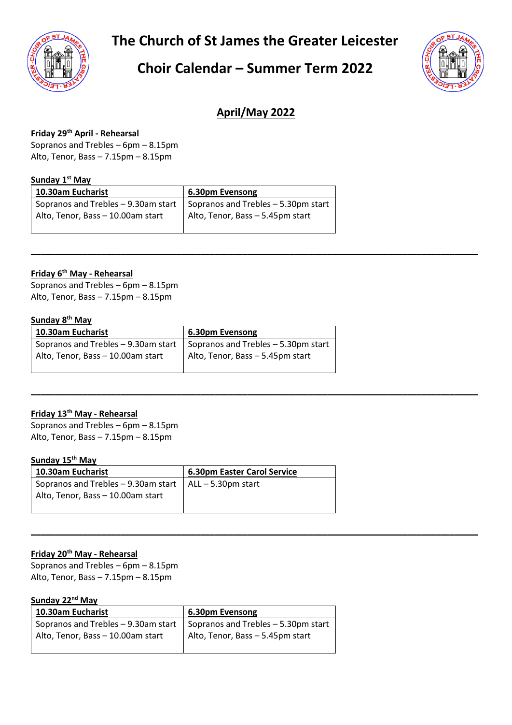**The Church of St James the Greater Leicester**

# **Choir Calendar – Summer Term 2022**



# **April/May 2022**

**\_\_\_\_\_\_\_\_\_\_\_\_\_\_\_\_\_\_\_\_\_\_\_\_\_\_\_\_\_\_\_\_\_\_\_\_\_\_\_\_\_\_\_\_\_\_\_\_\_\_\_\_\_\_\_\_\_\_\_\_\_\_\_\_\_\_\_\_\_\_\_\_\_\_\_\_\_\_\_\_\_\_\_\_\_\_\_\_\_\_\_\_\_\_\_**

**\_\_\_\_\_\_\_\_\_\_\_\_\_\_\_\_\_\_\_\_\_\_\_\_\_\_\_\_\_\_\_\_\_\_\_\_\_\_\_\_\_\_\_\_\_\_\_\_\_\_\_\_\_\_\_\_\_\_\_\_\_\_\_\_\_\_\_\_\_\_\_\_\_\_\_\_\_\_\_\_\_\_\_\_\_\_\_\_\_\_\_\_\_\_\_**

**\_\_\_\_\_\_\_\_\_\_\_\_\_\_\_\_\_\_\_\_\_\_\_\_\_\_\_\_\_\_\_\_\_\_\_\_\_\_\_\_\_\_\_\_\_\_\_\_\_\_\_\_\_\_\_\_\_\_\_\_\_\_\_\_\_\_\_\_\_\_\_\_\_\_\_\_\_\_\_\_\_\_\_\_\_\_\_\_\_\_\_\_\_\_\_**

#### **Friday 29th April - Rehearsal**

Sopranos and Trebles – 6pm – 8.15pm Alto, Tenor, Bass – 7.15pm – 8.15pm

#### **Sunday 1 st May**

| 10.30am Eucharist                                                             | 6.30pm Evensong                  |
|-------------------------------------------------------------------------------|----------------------------------|
| Sopranos and Trebles $-9.30$ am start   Sopranos and Trebles $-5.30$ pm start |                                  |
| Alto, Tenor, Bass - 10.00am start                                             | Alto, Tenor, Bass - 5.45pm start |

#### **Friday 6 th May - Rehearsal**

Sopranos and Trebles – 6pm – 8.15pm Alto, Tenor, Bass – 7.15pm – 8.15pm

#### **Sunday 8 th May**

| 10.30am Eucharist                   | 6.30pm Evensong                     |
|-------------------------------------|-------------------------------------|
| Sopranos and Trebles - 9.30am start | Sopranos and Trebles - 5.30pm start |
| Alto, Tenor, Bass - 10.00am start   | Alto, Tenor, Bass - 5.45pm start    |
|                                     |                                     |

# **Friday 13th May - Rehearsal**

Sopranos and Trebles – 6pm – 8.15pm Alto, Tenor, Bass – 7.15pm – 8.15pm

#### **Sunday 15th May**

| 10.30am Eucharist                                            | <b>6.30pm Easter Carol Service</b> |
|--------------------------------------------------------------|------------------------------------|
| Sopranos and Trebles $-9.30$ am start   ALL $-5.30$ pm start |                                    |
| Alto, Tenor, Bass – 10.00am start                            |                                    |

# **Friday 20th May - Rehearsal**

Sopranos and Trebles – 6pm – 8.15pm Alto, Tenor, Bass – 7.15pm – 8.15pm

# **Sunday 22nd May**

| 10.30am Eucharist                                                               | 6.30pm Evensong                  |
|---------------------------------------------------------------------------------|----------------------------------|
| Sopranos and Trebles - 9.30am start $\vert$ Sopranos and Trebles - 5.30pm start |                                  |
| Alto, Tenor, Bass - 10.00am start                                               | Alto, Tenor, Bass - 5.45pm start |
|                                                                                 |                                  |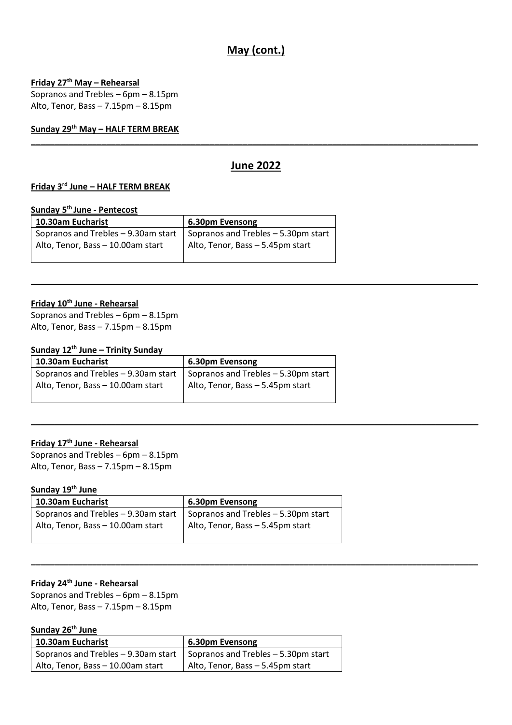# **May (cont.)**

## **Friday 27th May – Rehearsal**

Sopranos and Trebles – 6pm – 8.15pm Alto, Tenor, Bass – 7.15pm – 8.15pm

**Sunday 29th May – HALF TERM BREAK**

# **June 2022**

**\_\_\_\_\_\_\_\_\_\_\_\_\_\_\_\_\_\_\_\_\_\_\_\_\_\_\_\_\_\_\_\_\_\_\_\_\_\_\_\_\_\_\_\_\_\_\_\_\_\_\_\_\_\_\_\_\_\_\_\_\_\_\_\_\_\_\_\_\_\_\_\_\_\_\_\_\_\_\_\_\_\_\_\_\_\_\_\_\_\_\_\_\_\_\_**

**\_\_\_\_\_\_\_\_\_\_\_\_\_\_\_\_\_\_\_\_\_\_\_\_\_\_\_\_\_\_\_\_\_\_\_\_\_\_\_\_\_\_\_\_\_\_\_\_\_\_\_\_\_\_\_\_\_\_\_\_\_\_\_\_\_\_\_\_\_\_\_\_\_\_\_\_\_\_\_\_\_\_\_\_\_\_\_\_\_\_\_\_\_\_\_**

**\_\_\_\_\_\_\_\_\_\_\_\_\_\_\_\_\_\_\_\_\_\_\_\_\_\_\_\_\_\_\_\_\_\_\_\_\_\_\_\_\_\_\_\_\_\_\_\_\_\_\_\_\_\_\_\_\_\_\_\_\_\_\_\_\_\_\_\_\_\_\_\_\_\_\_\_\_\_\_\_\_\_\_\_\_\_\_\_\_\_\_\_\_\_\_**

**\_\_\_\_\_\_\_\_\_\_\_\_\_\_\_\_\_\_\_\_\_\_\_\_\_\_\_\_\_\_\_\_\_\_\_\_\_\_\_\_\_\_\_\_\_\_\_\_\_\_\_\_\_\_\_\_\_\_\_\_\_\_\_\_\_\_\_\_\_\_\_\_\_\_\_\_\_\_\_\_\_\_\_\_\_\_\_\_\_\_\_\_\_\_\_**

#### **Friday 3 rd June – HALF TERM BREAK**

#### **Sunday 5 th June - Pentecost**

| 10.30am Eucharist                                                             | 6.30pm Evensong                  |
|-------------------------------------------------------------------------------|----------------------------------|
| Sopranos and Trebles $-9.30$ am start   Sopranos and Trebles $-5.30$ pm start |                                  |
| Alto, Tenor, Bass - 10.00am start                                             | Alto, Tenor, Bass - 5.45pm start |
|                                                                               |                                  |

# **Friday 10th June - Rehearsal**

Sopranos and Trebles – 6pm – 8.15pm Alto, Tenor, Bass – 7.15pm – 8.15pm

## **Sunday 12th June – Trinity Sunday**

| 10.30am Eucharist                   | 6.30pm Evensong                     |
|-------------------------------------|-------------------------------------|
| Sopranos and Trebles - 9.30am start | Sopranos and Trebles - 5.30pm start |
| Alto, Tenor, Bass - 10.00am start   | Alto, Tenor, Bass - 5.45pm start    |

#### **Friday 17th June - Rehearsal**

Sopranos and Trebles – 6pm – 8.15pm Alto, Tenor, Bass – 7.15pm – 8.15pm

# **Sunday 19th June**

| 10.30am Eucharist                                                         | 6.30pm Evensong                  |
|---------------------------------------------------------------------------|----------------------------------|
| Sopranos and Trebles – 9.30am start   Sopranos and Trebles – 5.30pm start |                                  |
| Alto, Tenor, Bass - 10.00am start                                         | Alto, Tenor, Bass - 5.45pm start |

# **Friday 24th June - Rehearsal**

Sopranos and Trebles – 6pm – 8.15pm Alto, Tenor, Bass – 7.15pm – 8.15pm

# **Sunday 26th June**

| 10.30am Eucharist                                                             | 6.30pm Evensong                  |
|-------------------------------------------------------------------------------|----------------------------------|
| Sopranos and Trebles $-9.30$ am start   Sopranos and Trebles $-5.30$ pm start |                                  |
| Alto, Tenor, Bass - 10.00am start                                             | Alto, Tenor, Bass - 5.45pm start |